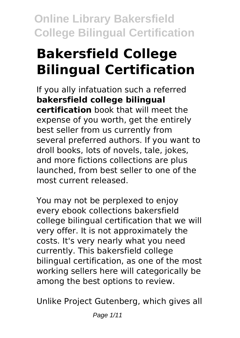# **Bakersfield College Bilingual Certification**

If you ally infatuation such a referred **bakersfield college bilingual certification** book that will meet the expense of you worth, get the entirely best seller from us currently from several preferred authors. If you want to droll books, lots of novels, tale, jokes, and more fictions collections are plus launched, from best seller to one of the most current released.

You may not be perplexed to enjoy every ebook collections bakersfield college bilingual certification that we will very offer. It is not approximately the costs. It's very nearly what you need currently. This bakersfield college bilingual certification, as one of the most working sellers here will categorically be among the best options to review.

Unlike Project Gutenberg, which gives all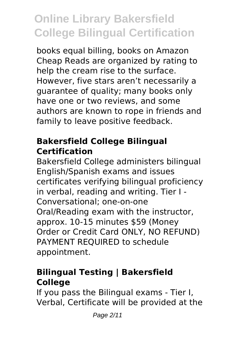books equal billing, books on Amazon Cheap Reads are organized by rating to help the cream rise to the surface. However, five stars aren't necessarily a guarantee of quality; many books only have one or two reviews, and some authors are known to rope in friends and family to leave positive feedback.

#### **Bakersfield College Bilingual Certification**

Bakersfield College administers bilingual English/Spanish exams and issues certificates verifying bilingual proficiency in verbal, reading and writing. Tier I - Conversational; one-on-one Oral/Reading exam with the instructor, approx. 10-15 minutes \$59 (Money Order or Credit Card ONLY, NO REFUND) PAYMENT REQUIRED to schedule appointment.

### **Bilingual Testing | Bakersfield College**

If you pass the Bilingual exams - Tier I, Verbal, Certificate will be provided at the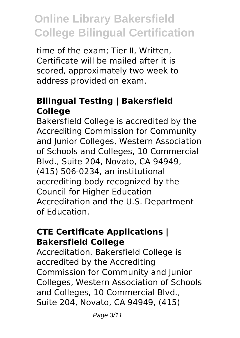time of the exam; Tier II, Written, Certificate will be mailed after it is scored, approximately two week to address provided on exam.

## **Bilingual Testing | Bakersfield College**

Bakersfield College is accredited by the Accrediting Commission for Community and Junior Colleges, Western Association of Schools and Colleges, 10 Commercial Blvd., Suite 204, Novato, CA 94949, (415) 506-0234, an institutional accrediting body recognized by the Council for Higher Education Accreditation and the U.S. Department of Education.

#### **CTE Certificate Applications | Bakersfield College**

Accreditation. Bakersfield College is accredited by the Accrediting Commission for Community and Junior Colleges, Western Association of Schools and Colleges, 10 Commercial Blvd., Suite 204, Novato, CA 94949, (415)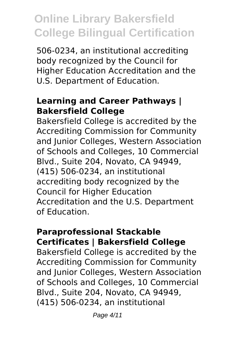506-0234, an institutional accrediting body recognized by the Council for Higher Education Accreditation and the U.S. Department of Education.

#### **Learning and Career Pathways | Bakersfield College**

Bakersfield College is accredited by the Accrediting Commission for Community and Junior Colleges, Western Association of Schools and Colleges, 10 Commercial Blvd., Suite 204, Novato, CA 94949, (415) 506-0234, an institutional accrediting body recognized by the Council for Higher Education Accreditation and the U.S. Department of Education.

#### **Paraprofessional Stackable Certificates | Bakersfield College**

Bakersfield College is accredited by the Accrediting Commission for Community and Junior Colleges, Western Association of Schools and Colleges, 10 Commercial Blvd., Suite 204, Novato, CA 94949, (415) 506-0234, an institutional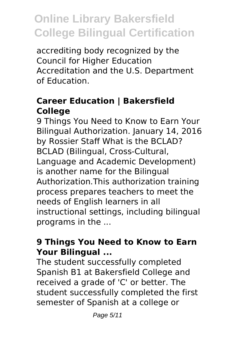accrediting body recognized by the Council for Higher Education Accreditation and the U.S. Department of Education.

### **Career Education | Bakersfield College**

9 Things You Need to Know to Earn Your Bilingual Authorization. January 14, 2016 by Rossier Staff What is the BCLAD? BCLAD (Bilingual, Cross-Cultural, Language and Academic Development) is another name for the Bilingual Authorization.This authorization training process prepares teachers to meet the needs of English learners in all instructional settings, including bilingual programs in the ...

### **9 Things You Need to Know to Earn Your Bilingual ...**

The student successfully completed Spanish B1 at Bakersfield College and received a grade of 'C' or better. The student successfully completed the first semester of Spanish at a college or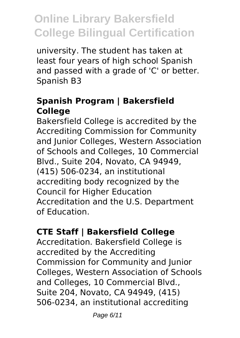university. The student has taken at least four years of high school Spanish and passed with a grade of 'C' or better. Spanish B3

### **Spanish Program | Bakersfield College**

Bakersfield College is accredited by the Accrediting Commission for Community and Junior Colleges, Western Association of Schools and Colleges, 10 Commercial Blvd., Suite 204, Novato, CA 94949, (415) 506-0234, an institutional accrediting body recognized by the Council for Higher Education Accreditation and the U.S. Department of Education.

## **CTE Staff | Bakersfield College**

Accreditation. Bakersfield College is accredited by the Accrediting Commission for Community and Junior Colleges, Western Association of Schools and Colleges, 10 Commercial Blvd., Suite 204, Novato, CA 94949, (415) 506-0234, an institutional accrediting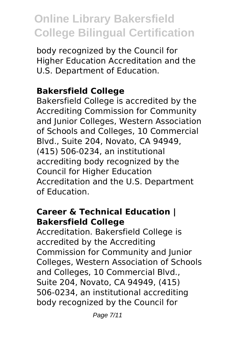body recognized by the Council for Higher Education Accreditation and the U.S. Department of Education.

## **Bakersfield College**

Bakersfield College is accredited by the Accrediting Commission for Community and Junior Colleges, Western Association of Schools and Colleges, 10 Commercial Blvd., Suite 204, Novato, CA 94949, (415) 506-0234, an institutional accrediting body recognized by the Council for Higher Education Accreditation and the U.S. Department of Education.

#### **Career & Technical Education | Bakersfield College**

Accreditation. Bakersfield College is accredited by the Accrediting Commission for Community and Junior Colleges, Western Association of Schools and Colleges, 10 Commercial Blvd., Suite 204, Novato, CA 94949, (415) 506-0234, an institutional accrediting body recognized by the Council for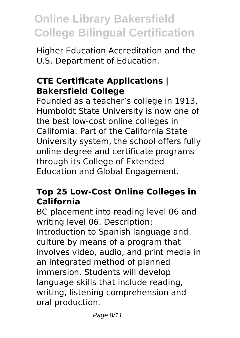Higher Education Accreditation and the U.S. Department of Education.

### **CTE Certificate Applications | Bakersfield College**

Founded as a teacher's college in 1913, Humboldt State University is now one of the best low-cost online colleges in California. Part of the California State University system, the school offers fully online degree and certificate programs through its College of Extended Education and Global Engagement.

### **Top 25 Low-Cost Online Colleges in California**

BC placement into reading level 06 and writing level 06. Description: Introduction to Spanish language and culture by means of a program that involves video, audio, and print media in an integrated method of planned immersion. Students will develop language skills that include reading, writing, listening comprehension and oral production.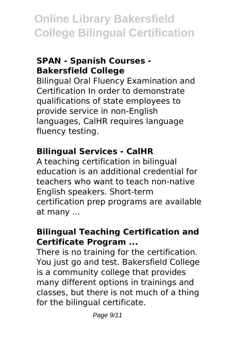### **SPAN - Spanish Courses - Bakersfield College**

Bilingual Oral Fluency Examination and Certification In order to demonstrate qualifications of state employees to provide service in non-English languages, CalHR requires language fluency testing.

#### **Bilingual Services - CalHR**

A teaching certification in bilingual education is an additional credential for teachers who want to teach non-native English speakers. Short-term certification prep programs are available at many ...

#### **Bilingual Teaching Certification and Certificate Program ...**

There is no training for the certification. You just go and test. Bakersfield College is a community college that provides many different options in trainings and classes, but there is not much of a thing for the bilingual certificate.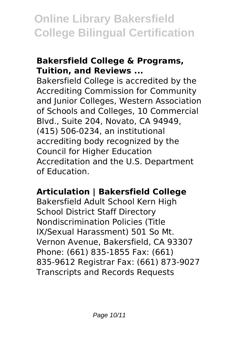#### **Bakersfield College & Programs, Tuition, and Reviews ...**

Bakersfield College is accredited by the Accrediting Commission for Community and Junior Colleges, Western Association of Schools and Colleges, 10 Commercial Blvd., Suite 204, Novato, CA 94949, (415) 506-0234, an institutional accrediting body recognized by the Council for Higher Education Accreditation and the U.S. Department of Education.

### **Articulation | Bakersfield College**

Bakersfield Adult School Kern High School District Staff Directory Nondiscrimination Policies (Title IX/Sexual Harassment) 501 So Mt. Vernon Avenue, Bakersfield, CA 93307 Phone: (661) 835-1855 Fax: (661) 835-9612 Registrar Fax: (661) 873-9027 Transcripts and Records Requests